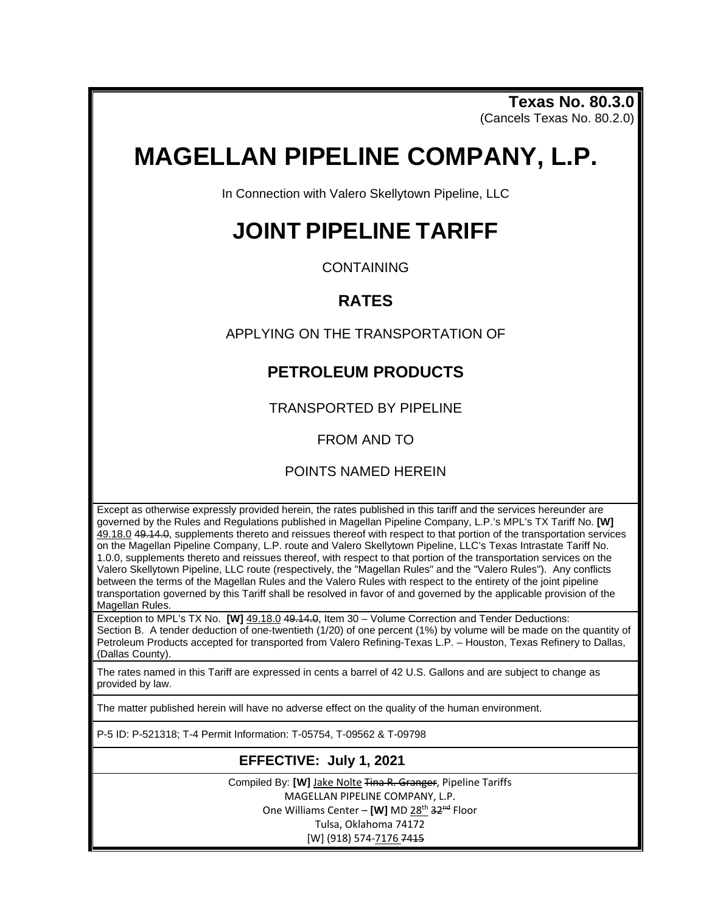**Texas No. 80.3.0** (Cancels Texas No. 80.2.0)

# **MAGELLAN PIPELINE COMPANY, L.P.**

In Connection with Valero Skellytown Pipeline, LLC

## **JOINT PIPELINE TARIFF**

**CONTAINING** 

### **RATES**

APPLYING ON THE TRANSPORTATION OF

## **PETROLEUM PRODUCTS**

TRANSPORTED BY PIPELINE

FROM AND TO

#### POINTS NAMED HEREIN

Except as otherwise expressly provided herein, the rates published in this tariff and the services hereunder are governed by the Rules and Regulations published in Magellan Pipeline Company, L.P.'s MPL's TX Tariff No. **[W]** 49.18.0 49.14.0, supplements thereto and reissues thereof with respect to that portion of the transportation services on the Magellan Pipeline Company, L.P. route and Valero Skellytown Pipeline, LLC's Texas Intrastate Tariff No. 1.0.0, supplements thereto and reissues thereof, with respect to that portion of the transportation services on the Valero Skellytown Pipeline, LLC route (respectively, the "Magellan Rules" and the "Valero Rules"). Any conflicts between the terms of the Magellan Rules and the Valero Rules with respect to the entirety of the joint pipeline transportation governed by this Tariff shall be resolved in favor of and governed by the applicable provision of the Magellan Rules.

Exception to MPL's TX No. **[W]** 49.18.0 49.14.0, Item 30 – Volume Correction and Tender Deductions: Section B. A tender deduction of one-twentieth (1/20) of one percent (1%) by volume will be made on the quantity of Petroleum Products accepted for transported from Valero Refining-Texas L.P. – Houston, Texas Refinery to Dallas, (Dallas County).

The rates named in this Tariff are expressed in cents a barrel of 42 U.S. Gallons and are subject to change as provided by law.

The matter published herein will have no adverse effect on the quality of the human environment.

P-5 ID: P-521318; T-4 Permit Information: T-05754, T-09562 & T-09798

#### **EFFECTIVE: July 1, 2021**

Compiled By: **[W]** Jake Nolte Tina R. Granger, Pipeline Tariffs MAGELLAN PIPELINE COMPANY, L.P. One Williams Center - [W] MD 28<sup>th</sup> 32<sup>nd</sup> Floor Tulsa, Oklahoma 74172 [W] (918) 574-7176 7415